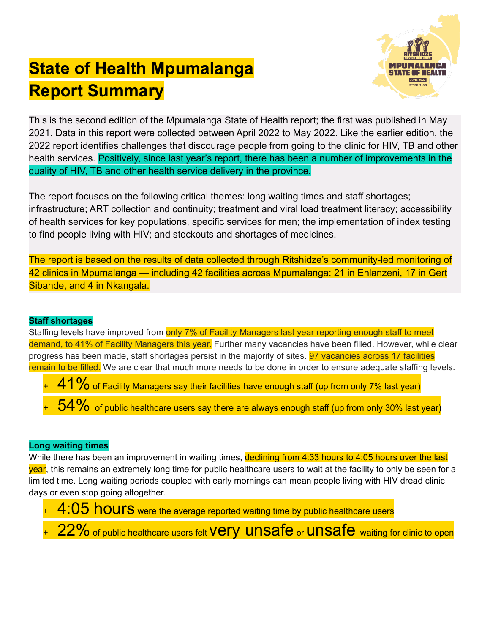# **State of Health Mpumalanga Report Summary**



This is the second edition of the Mpumalanga State of Health report; the first was published in May 2021. Data in this report were collected between April 2022 to May 2022. Like the earlier edition, the 2022 report identifies challenges that discourage people from going to the clinic for HIV, TB and other health services. Positively, since last year's report, there has been a number of improvements in the quality of HIV, TB and other health service delivery in the province.

The report focuses on the following critical themes: long waiting times and staff shortages; infrastructure; ART collection and continuity; treatment and viral load treatment literacy; accessibility of health services for key populations, specific services for men; the implementation of index testing to find people living with HIV; and stockouts and shortages of medicines.

The report is based on the results of data collected through Ritshidze's community-led monitoring of 42 clinics in Mpumalanga — including 42 facilities across Mpumalanga: 21 in Ehlanzeni, 17 in Gert Sibande, and 4 in Nkangala.

## **Staff shortages**

Staffing levels have improved from only 7% of Facility Managers last year reporting enough staff to meet demand, to 41% of Facility Managers this year. Further many vacancies have been filled. However, while clear progress has been made, staff shortages persist in the majority of sites. **97 vacancies across 17 facilities** remain to be filled. We are clear that much more needs to be done in order to ensure adequate staffing levels.

- $+41\%$  of Facility Managers say their facilities have enough staff (up from only 7% last year)
- $-54\%$  of public healthcare users say there are always enough staff (up from only 30% last year)

### **Long waiting times**

While there has been an improvement in waiting times, declining from 4:33 hours to 4:05 hours over the last year, this remains an extremely long time for public healthcare users to wait at the facility to only be seen for a limited time. Long waiting periods coupled with early mornings can mean people living with HIV dread clinic days or even stop going altogether.

4:05 hours were the average reported waiting time by public healthcare users 22% of public healthcare users felt Very unsafe or unsafe waiting for clinic to open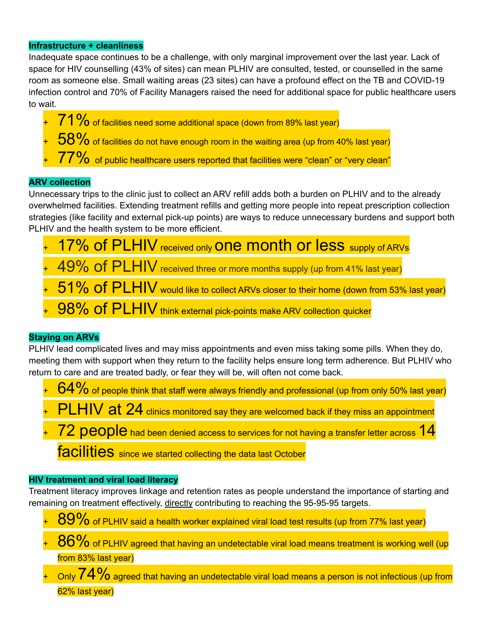#### **Infrastructure + cleanliness**

Inadequate space continues to be a challenge, with only marginal improvement over the last year. Lack of space for HIV counselling (43% of sites) can mean PLHIV are consulted, tested, or counselled in the same room as someone else. Small waiting areas (23 sites) can have a profound effect on the TB and COVID-19 infection control and 70% of Facility Managers raised the need for additional space for public healthcare users to wait.

- 71% of facilities need some additional space (down from 89% last year)
- $+ 58\%$  of facilities do not have enough room in the waiting area (up from 40% last year)
- $+ 77\%$  of public healthcare users reported that facilities were "clean" or "very clean"

### **ARV collection**

Unnecessary trips to the clinic just to collect an ARV refill adds both a burden on PLHIV and to the already overwhelmed facilities. Extending treatment refills and getting more people into repeat prescription collection strategies (like facility and external pick-up points) are ways to reduce unnecessary burdens and support both PLHIV and the health system to be more efficient.

- 17% of PLHIV received only One month or less supply of ARVs
- 49% of PLHIV received three or more months supply (up from 41% last year)
- 51% of PLHIV would like to collect ARVs closer to their home (down from 53% last year)
- 98% of PLHIV think external pick-points make ARV collection quicker

### **Staying on ARVs**

PLHIV lead complicated lives and may miss appointments and even miss taking some pills. When they do, meeting them with support when they return to the facility helps ensure long term adherence. But PLHIV who return to care and are treated badly, or fear they will be, will often not come back.

- $64\%$  of people think that staff were always friendly and professional (up from only 50% last year)
- $\mathsf{PLHN}$  at  $24$  clinics monitored say they are welcomed back if they miss an appointment
- 72 people had been denied access to services for not having a transfer letter across 14 facilities since we started collecting the data last October

#### **HIV treatment and viral load literacy**

Treatment literacy improves linkage and retention rates as people understand the importance of starting and remaining on treatment effectively, directly contributing to reaching the 95-95-95 targets.

- 89% of PLHIV said a health worker explained viral load test results (up from 77% last year)
- $+$  86% of PLHIV agreed that having an undetectable viral load means treatment is working well (up from 83% last year)
- Only  $74\%$  agreed that having an undetectable viral load means a person is not infectious (up from 62% last year)